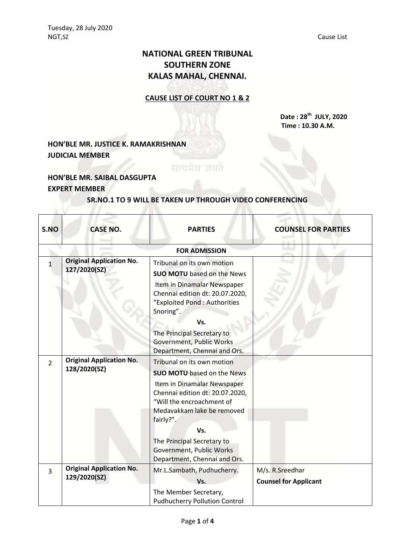# **NATIONAL GREEN TRIBUNAL SOUTHERN ZONE KALAS MAHAL, CHENNAI.**

#### **CAUSE LIST OF COURT NO 1 & 2**

**Date : 28th JULY, 2020 Time : 10.30 A.M.**

## **HON'BLE MR. JUSTICE K. RAMAKRISHNAN JUDICIAL MEMBER**

### **HON'BLE MR. SAIBAL DASGUPTA EXPERT MEMBER**

#### **SR.NO.1 TO 9 WILL BE TAKEN UP THROUGH VIDEO CONFERENCING**

सत्यमेव जयत

| S.NO           | <b>CASE NO.</b>                                 | <b>PARTIES</b>                                                                                                                                                                                                                                                             | <b>COUNSEL FOR PARTIES</b>                       |
|----------------|-------------------------------------------------|----------------------------------------------------------------------------------------------------------------------------------------------------------------------------------------------------------------------------------------------------------------------------|--------------------------------------------------|
|                |                                                 | <b>FOR ADMISSION</b>                                                                                                                                                                                                                                                       |                                                  |
| 1              | <b>Original Application No.</b><br>127/2020(SZ) | Tribunal on its own motion<br><b>SUO MOTU</b> based on the News<br>Item in Dinamalar Newspaper<br>Chennai edition dt: 20.07.2020,<br>"Exploited Pond: Authorities<br>Snoring".<br>Vs.                                                                                      |                                                  |
|                |                                                 | The Principal Secretary to<br>Government, Public Works<br>Department, Chennai and Ors.                                                                                                                                                                                     |                                                  |
| $\overline{2}$ | <b>Original Application No.</b><br>128/2020(SZ) | Tribunal on its own motion<br><b>SUO MOTU</b> based on the News<br>Item in Dinamalar Newspaper<br>Chennai edition dt: 20.07.2020,<br>"Will the encroachment of<br>Medavakkam lake be removed<br>fairly?".<br>Vs.<br>The Principal Secretary to<br>Government, Public Works |                                                  |
| 3              | <b>Original Application No.</b><br>129/2020(SZ) | Department, Chennai and Ors.<br>Mr.L.Sambath, Pudhucherry.<br>Vs.                                                                                                                                                                                                          | M/s. R. Sreedhar<br><b>Counsel for Applicant</b> |
|                |                                                 | The Member Secretary,<br><b>Pudhucherry Pollution Control</b>                                                                                                                                                                                                              |                                                  |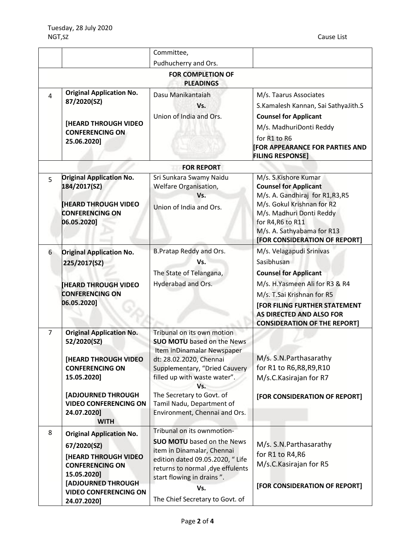|                                              |                                                                                                                                                                                                     | Committee,                                                                                                                                                                                                                                                                                  |                                                                                                                                                                                                                                                          |  |  |  |
|----------------------------------------------|-----------------------------------------------------------------------------------------------------------------------------------------------------------------------------------------------------|---------------------------------------------------------------------------------------------------------------------------------------------------------------------------------------------------------------------------------------------------------------------------------------------|----------------------------------------------------------------------------------------------------------------------------------------------------------------------------------------------------------------------------------------------------------|--|--|--|
|                                              |                                                                                                                                                                                                     | Pudhucherry and Ors.                                                                                                                                                                                                                                                                        |                                                                                                                                                                                                                                                          |  |  |  |
| <b>FOR COMPLETION OF</b><br><b>PLEADINGS</b> |                                                                                                                                                                                                     |                                                                                                                                                                                                                                                                                             |                                                                                                                                                                                                                                                          |  |  |  |
| 4                                            | <b>Original Application No.</b><br>87/2020(SZ)<br><b>[HEARD THROUGH VIDEO</b><br><b>CONFERENCING ON</b><br>25.06.2020]                                                                              | Dasu Manikantaiah<br>Vs.<br>Union of India and Ors.                                                                                                                                                                                                                                         | M/s. Taarus Associates<br>S.Kamalesh Kannan, Sai SathyaJith.S<br><b>Counsel for Applicant</b><br>M/s. MadhuriDonti Reddy<br>for R1 to R6<br><b>FOR APPEARANCE FOR PARTIES AND</b><br><b>FILING RESPONSE]</b>                                             |  |  |  |
|                                              |                                                                                                                                                                                                     | <b>FOR REPORT</b>                                                                                                                                                                                                                                                                           |                                                                                                                                                                                                                                                          |  |  |  |
| 5                                            | <b>Original Application No.</b><br>184/2017(SZ)<br><b>HEARD THROUGH VIDEO</b><br><b>CONFERENCING ON</b><br>06.05.2020]                                                                              | Sri Sunkara Swamy Naidu<br>Welfare Organisation,<br>Vs.<br>Union of India and Ors.                                                                                                                                                                                                          | M/s. S.Kishore Kumar<br><b>Counsel for Applicant</b><br>M/s. A. Gandhiraj for R1,R3,R5<br>M/s. Gokul Krishnan for R2<br>M/s. Madhuri Donti Reddy<br>for R4, R6 to R11<br>M/s. A. Sathyabama for R13<br>[FOR CONSIDERATION OF REPORT]                     |  |  |  |
| 6                                            | <b>Original Application No.</b><br>225/2017(SZ)<br><b>HEARD THROUGH VIDEO</b><br><b>CONFERENCING ON</b><br>06.05.2020]                                                                              | B. Pratap Reddy and Ors.<br>Vs.<br>The State of Telangana,<br>Hyderabad and Ors.                                                                                                                                                                                                            | M/s. Velagapudi Srinivas<br>Sasibhusan<br><b>Counsel for Applicant</b><br>M/s. H.Yasmeen Ali for R3 & R4<br>M/s. T.Sai Krishnan for R5<br><b>[FOR FILING FURTHER STATEMENT</b><br><b>AS DIRECTED AND ALSO FOR</b><br><b>CONSIDERATION OF THE REPORT]</b> |  |  |  |
| $\overline{7}$                               | <b>Original Application No.</b><br>52/2020(SZ)<br>[HEARD THROUGH VIDEO<br><b>CONFERENCING ON</b><br>15.05.2020]<br>[ADJOURNED THROUGH<br><b>VIDEO CONFERENCING ON</b><br>24.07.2020]<br><b>WITH</b> | Tribunal on its own motion<br><b>SUO MOTU</b> based on the News<br>Item inDinamalar Newspaper<br>dt: 28.02.2020, Chennai<br>Supplementary, "Dried Cauvery<br>filled up with waste water".<br>Vs.<br>The Secretary to Govt. of<br>Tamil Nadu, Department of<br>Environment, Chennai and Ors. | M/s. S.N. Parthasarathy<br>for R1 to R6, R8, R9, R10<br>M/s.C.Kasirajan for R7<br>[FOR CONSIDERATION OF REPORT]                                                                                                                                          |  |  |  |
| 8                                            | <b>Original Application No.</b><br>67/2020(SZ)<br><b>[HEARD THROUGH VIDEO</b><br><b>CONFERENCING ON</b><br>15.05.2020]<br>[ADJOURNED THROUGH<br><b>VIDEO CONFERENCING ON</b><br>24.07.2020]         | Tribunal on its ownmotion-<br><b>SUO MOTU</b> based on the News<br>item in Dinamalar, Chennai<br>edition dated 09.05.2020, " Life<br>returns to normal , dye effulents<br>start flowing in drains".<br>Vs.<br>The Chief Secretary to Govt. of                                               | M/s. S.N. Parthasarathy<br>for R1 to R4, R6<br>M/s.C.Kasirajan for R5<br>[FOR CONSIDERATION OF REPORT]                                                                                                                                                   |  |  |  |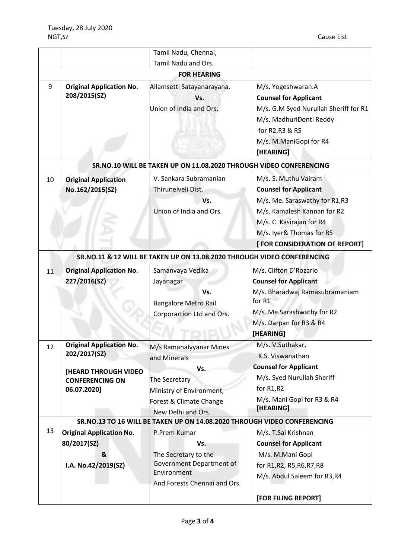|                                                                    |                                                                                                                         | Tamil Nadu, Chennai,                                                                                                                         |                                                                                                                                                                                                                |  |  |  |  |
|--------------------------------------------------------------------|-------------------------------------------------------------------------------------------------------------------------|----------------------------------------------------------------------------------------------------------------------------------------------|----------------------------------------------------------------------------------------------------------------------------------------------------------------------------------------------------------------|--|--|--|--|
|                                                                    |                                                                                                                         | Tamil Nadu and Ors.                                                                                                                          |                                                                                                                                                                                                                |  |  |  |  |
| <b>FOR HEARING</b>                                                 |                                                                                                                         |                                                                                                                                              |                                                                                                                                                                                                                |  |  |  |  |
| 9                                                                  | <b>Original Application No.</b><br>208/2015(SZ)                                                                         | Allamsetti Satayanarayana,<br>Vs.<br>Union of India and Ors.                                                                                 | M/s. Yogeshwaran.A<br><b>Counsel for Applicant</b><br>M/s. G.M Syed Nurullah Sheriff for R1<br>M/s. MadhuriDonti Reddy<br>for R2, R3 & R5<br>M/s. M.ManiGopi for R4<br>[HEARING]                               |  |  |  |  |
| SR.NO.10 WILL BE TAKEN UP ON 11.08.2020 THROUGH VIDEO CONFERENCING |                                                                                                                         |                                                                                                                                              |                                                                                                                                                                                                                |  |  |  |  |
| 10                                                                 | <b>Original Application</b><br>No.162/2015(SZ)                                                                          | V. Sankara Subramanian<br>Thirunelveli Dist.<br>Vs.<br>Union of India and Ors.                                                               | M/s. S. Muthu Vairam<br><b>Counsel for Applicant</b><br>M/s. Me. Saraswathy for R1,R3<br>M/s. Kamalesh Kannan for R2<br>M/s. C. Kasirajan for R4<br>M/s. Iyer& Thomas for R5<br>[ FOR CONSIDERATION OF REPORT] |  |  |  |  |
|                                                                    |                                                                                                                         | SR.NO.11 & 12 WILL BE TAKEN UP ON 13.08.2020 THROUGH VIDEO CONFERENCING                                                                      |                                                                                                                                                                                                                |  |  |  |  |
| 11                                                                 | <b>Original Application No.</b><br>227/2016(SZ)                                                                         | Samanvaya Vedika<br>Jayanagar<br>Vs.<br><b>Bangalore Metro Rail</b><br>Corporartion Ltd and Ors.                                             | M/s. Clifton D'Rozario<br><b>Counsel for Applicant</b><br>M/s. Bharadwaj Ramasubramaniam<br>for R1<br>M/s. Me.Sarashwathy for R2<br>M/s. Darpan for R3 & R4<br>[HEARING]                                       |  |  |  |  |
| 12                                                                 | <b>Original Application No.</b><br>202/2017(SZ)<br><b>[HEARD THROUGH VIDEO</b><br><b>CONFERENCING ON</b><br>06.07.2020] | M/s Ramanalyyanar Mines<br>and Minerals<br>Vs.<br>The Secretary<br>Ministry of Environment,<br>Forest & Climate Change<br>New Delhi and Ors. | M/s. V.Suthakar,<br>K.S. Viswanathan<br><b>Counsel for Applicant</b><br>M/s. Syed Nurullah Sheriff<br>for R1,R2<br>M/s. Mani Gopi for R3 & R4<br>[HEARING]                                                     |  |  |  |  |
|                                                                    |                                                                                                                         | SR.NO.13 TO 16 WILL BE TAKEN UP ON 14.08.2020 THROUGH VIDEO CONFERENCING                                                                     |                                                                                                                                                                                                                |  |  |  |  |
| 13                                                                 | <b>Original Application No.</b><br>80/2017(SZ)<br>&<br>I.A. No.42/2019(SZ)                                              | P.Prem Kumar<br>Vs.<br>The Secretary to the<br>Government Department of<br>Environment<br>And Forests Chennai and Ors.                       | M/s. T.Sai Krishnan<br><b>Counsel for Applicant</b><br>M/s. M.Mani Gopi<br>for R1, R2, R5, R6, R7, R8<br>M/s. Abdul Saleem for R3,R4<br>[FOR FILING REPORT]                                                    |  |  |  |  |